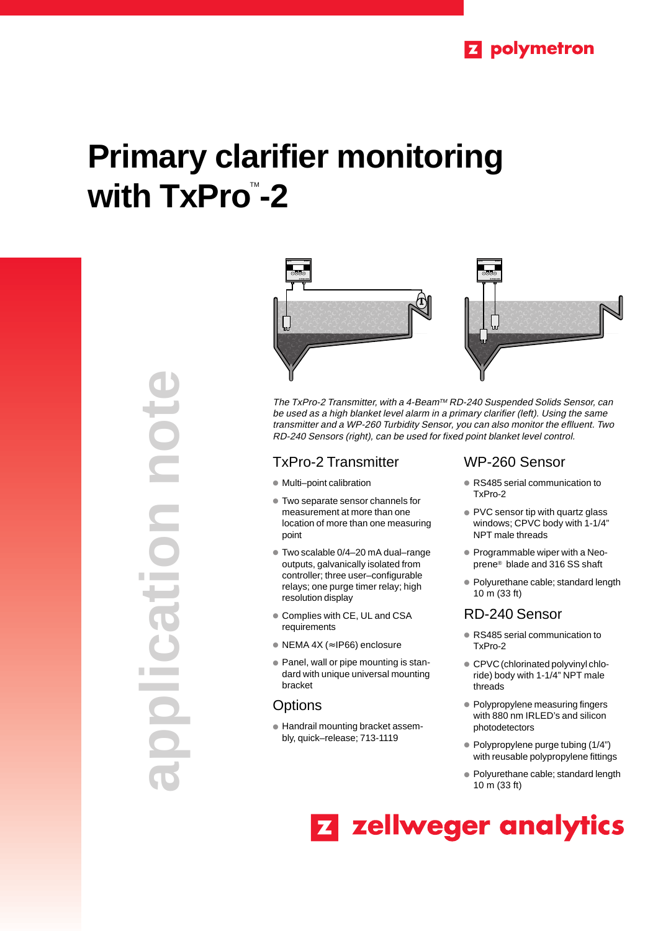# **Primary clarifier monitoring with TxPro™-2**

**application note POTE** Idio





The TxPro-2 Transmitter, with a 4-Beam™ RD-240 Suspended Solids Sensor, can be used as a high blanket level alarm in a primary clarifier (left). Using the same transmitter and a WP-260 Turbidity Sensor, you can also monitor the eflluent. Two RD-240 Sensors (right), can be used for fixed point blanket level control.

## TxPro-2 Transmitter

- Multi-point calibration
- Two separate sensor channels for measurement at more than one location of more than one measuring point
- Two scalable 0/4-20 mA dual-range outputs, galvanically isolated from controller; three user–configurable relays; one purge timer relay; high resolution display
- Complies with CE, UL and CSA requirements
- NEMA 4X (≈ IP66) enclosure
- Panel, wall or pipe mounting is standard with unique universal mounting bracket

## **Options**

● Handrail mounting bracket assembly, quick–release; 713-1119

## WP-260 Sensor

- RS485 serial communication to TxPro-2
- PVC sensor tip with quartz glass windows; CPVC body with 1-1/4" NPT male threads
- Programmable wiper with a Neoprene® blade and 316 SS shaft
- Polyurethane cable; standard length 10 m (33 ft)

## RD-240 Sensor

- RS485 serial communication to TxPro-2
- CPVC (chlorinated polyvinyl chloride) body with 1-1/4" NPT male threads
- Polypropylene measuring fingers with 880 nm IRLED's and silicon photodetectors
- Polypropylene purge tubing (1/4") with reusable polypropylene fittings
- Polyurethane cable; standard length 10 m (33 ft)